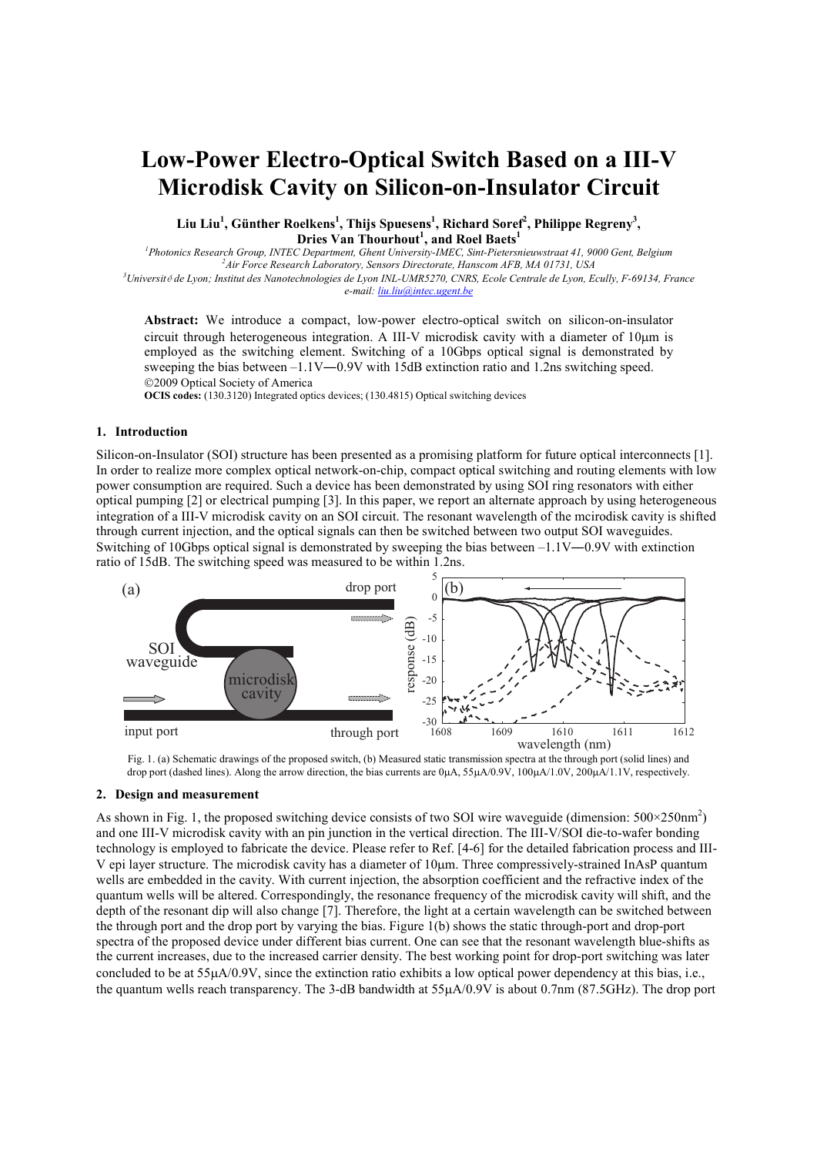# **Low-Power Electro-Optical Switch Based on a III-V Microdisk Cavity on Silicon-on-Insulator Circuit**

**Liu Liu<sup>1</sup> , Günther Roelkens<sup>1</sup> , Thijs Spuesens<sup>1</sup> , Richard Soref<sup>2</sup> , Philippe Regreny<sup>3</sup> , Dries Van Thourhout<sup>1</sup> , and Roel Baets<sup>1</sup>**

<sup>1</sup>*Photonics Research Group, INTEC Department, Ghent University-IMEC, Sint-Pietersnieuwstraat 41, 9000 Gent, Belgium <sup>2</sup>Air Force Research Laboratory, Sensors Directorate, Hanscom AFB, MA 01731, USA*  <sup>3</sup>*Université de Lyon; Institut des Nanotechnologies de Lyon INL-UMR5270, CNRS, Ecole Centrale de Lyon, Ecully, F-69134, France* 

*e-mail: liu.liu@intec.ugent.be*

**Abstract:** We introduce a compact, low-power electro-optical switch on silicon-on-insulator circuit through heterogeneous integration. A III-V microdisk cavity with a diameter of 10µm is employed as the switching element. Switching of a 10Gbps optical signal is demonstrated by sweeping the bias between –1.1V—0.9V with 15dB extinction ratio and 1.2ns switching speed. 2009 Optical Society of America

**OCIS codes:** (130.3120) Integrated optics devices; (130.4815) Optical switching devices

## **1. Introduction**

Silicon-on-Insulator (SOI) structure has been presented as a promising platform for future optical interconnects [1]. In order to realize more complex optical network-on-chip, compact optical switching and routing elements with low power consumption are required. Such a device has been demonstrated by using SOI ring resonators with either optical pumping [2] or electrical pumping [3]. In this paper, we report an alternate approach by using heterogeneous integration of a III-V microdisk cavity on an SOI circuit. The resonant wavelength of the mcirodisk cavity is shifted through current injection, and the optical signals can then be switched between two output SOI waveguides. Switching of 10Gbps optical signal is demonstrated by sweeping the bias between  $-1.1V-0.9V$  with extinction ratio of 15dB. The switching speed was measured to be within 1.2ns.



Fig. 1. (a) Schematic drawings of the proposed switch, (b) Measured static transmission spectra at the through port (solid lines) and drop port (dashed lines). Along the arrow direction, the bias currents are 0µA, 55µA/0.9V, 100µA/1.0V, 200µA/1.1V, respectively.

#### **2. Design and measurement**

As shown in Fig. 1, the proposed switching device consists of two SOI wire waveguide (dimension:  $500 \times 250 \text{nm}^2$ ) and one III-V microdisk cavity with an pin junction in the vertical direction. The III-V/SOI die-to-wafer bonding technology is employed to fabricate the device. Please refer to Ref. [4-6] for the detailed fabrication process and III-V epi layer structure. The microdisk cavity has a diameter of 10µm. Three compressively-strained InAsP quantum wells are embedded in the cavity. With current injection, the absorption coefficient and the refractive index of the quantum wells will be altered. Correspondingly, the resonance frequency of the microdisk cavity will shift, and the depth of the resonant dip will also change [7]. Therefore, the light at a certain wavelength can be switched between the through port and the drop port by varying the bias. Figure 1(b) shows the static through-port and drop-port spectra of the proposed device under different bias current. One can see that the resonant wavelength blue-shifts as the current increases, due to the increased carrier density. The best working point for drop-port switching was later concluded to be at 55µA/0.9V, since the extinction ratio exhibits a low optical power dependency at this bias, i.e., the quantum wells reach transparency. The 3-dB bandwidth at 55µA/0.9V is about 0.7nm (87.5GHz). The drop port